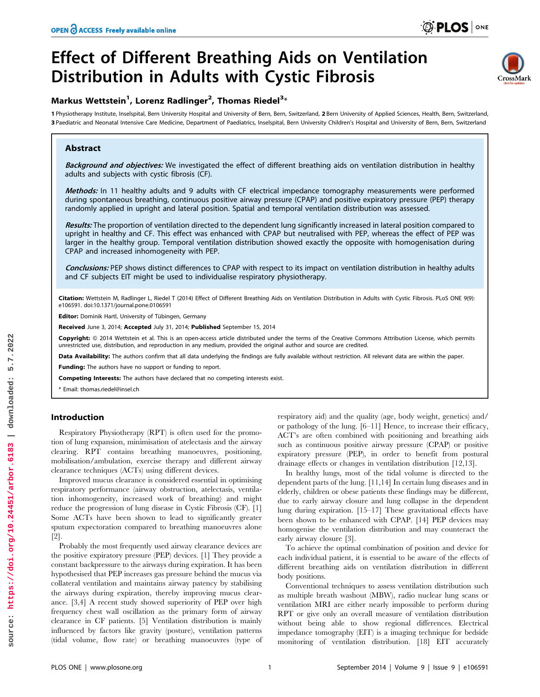`rossMarl

# Effect of Different Breathing Aids on Ventilation Distribution in Adults with Cystic Fibrosis

# Markus Wettstein<sup>1</sup>, Lorenz Radlinger<sup>2</sup>, Thomas Riedel<sup>3</sup>\*

1 Physiotherapy Institute, Inselspital, Bern University Hospital and University of Bern, Bern, Switzerland, 2 Bern University of Applied Sciences, Health, Bern, Switzerland, 3 Paediatric and Neonatal Intensive Care Medicine, Department of Paediatrics, Inselspital, Bern University Children's Hospital and University of Bern, Bern, Switzerland

## Abstract

Background and objectives: We investigated the effect of different breathing aids on ventilation distribution in healthy adults and subjects with cystic fibrosis (CF).

Methods: In 11 healthy adults and 9 adults with CF electrical impedance tomography measurements were performed during spontaneous breathing, continuous positive airway pressure (CPAP) and positive expiratory pressure (PEP) therapy randomly applied in upright and lateral position. Spatial and temporal ventilation distribution was assessed.

Results: The proportion of ventilation directed to the dependent lung significantly increased in lateral position compared to upright in healthy and CF. This effect was enhanced with CPAP but neutralised with PEP, whereas the effect of PEP was larger in the healthy group. Temporal ventilation distribution showed exactly the opposite with homogenisation during CPAP and increased inhomogeneity with PEP.

Conclusions: PEP shows distinct differences to CPAP with respect to its impact on ventilation distribution in healthy adults and CF subjects EIT might be used to individualise respiratory physiotherapy.

Citation: Wettstein M, Radlinger L, Riedel T (2014) Effect of Different Breathing Aids on Ventilation Distribution in Adults with Cystic Fibrosis. PLoS ONE 9(9): e106591. doi:10.1371/journal.pone.0106591

Editor: Dominik Hartl, University of Tübingen, Germany

Received June 3, 2014; Accepted July 31, 2014; Published September 15, 2014

Copyright: © 2014 Wettstein et al. This is an open-access article distributed under the terms of the [Creative Commons Attribution License](http://creativecommons.org/licenses/by/4.0/), which permits unrestricted use, distribution, and reproduction in any medium, provided the original author and source are credited.

Data Availability: The authors confirm that all data underlying the findings are fully available without restriction. All relevant data are within the paper.

Funding: The authors have no support or funding to report.

Competing Interests: The authors have declared that no competing interests exist.

\* Email: thomas.riedel@insel.ch

## Introduction

Respiratory Physiotherapy (RPT) is often used for the promotion of lung expansion, minimisation of atelectasis and the airway clearing. RPT contains breathing manoeuvres, positioning, mobilisation/ambulation, exercise therapy and different airway clearance techniques (ACTs) using different devices.

Improved mucus clearance is considered essential in optimising respiratory performance (airway obstruction, atelectasis, ventilation inhomogeneity, increased work of breathing) and might reduce the progression of lung disease in Cystic Fibrosis (CF). [1] Some ACTs have been shown to lead to significantly greater sputum expectoration compared to breathing manoeuvres alone [2].

Probably the most frequently used airway clearance devices are the positive expiratory pressure (PEP) devices. [1] They provide a constant backpressure to the airways during expiration. It has been hypothesised that PEP increases gas pressure behind the mucus via collateral ventilation and maintains airway patency by stabilising the airways during expiration, thereby improving mucus clearance. [3,4] A recent study showed superiority of PEP over high frequency chest wall oscillation as the primary form of airway clearance in CF patients. [5] Ventilation distribution is mainly influenced by factors like gravity (posture), ventilation patterns (tidal volume, flow rate) or breathing manoeuvres (type of respiratory aid) and the quality (age, body weight, genetics) and/ or pathology of the lung. [6–11] Hence, to increase their efficacy, ACT's are often combined with positioning and breathing aids such as continuous positive airway pressure (CPAP) or positive expiratory pressure (PEP), in order to benefit from postural drainage effects or changes in ventilation distribution [12,13].

In healthy lungs, most of the tidal volume is directed to the dependent parts of the lung. [11,14] In certain lung diseases and in elderly, children or obese patients these findings may be different, due to early airway closure and lung collapse in the dependent lung during expiration. [15–17] These gravitational effects have been shown to be enhanced with CPAP. [14] PEP devices may homogenise the ventilation distribution and may counteract the early airway closure [3].

To achieve the optimal combination of position and device for each individual patient, it is essential to be aware of the effects of different breathing aids on ventilation distribution in different body positions.

Conventional techniques to assess ventilation distribution such as multiple breath washout (MBW), radio nuclear lung scans or ventilation MRI are either nearly impossible to perform during RPT or give only an overall measure of ventilation distribution without being able to show regional differences. Electrical impedance tomography (EIT) is a imaging technique for bedside monitoring of ventilation distribution. [18] EIT accurately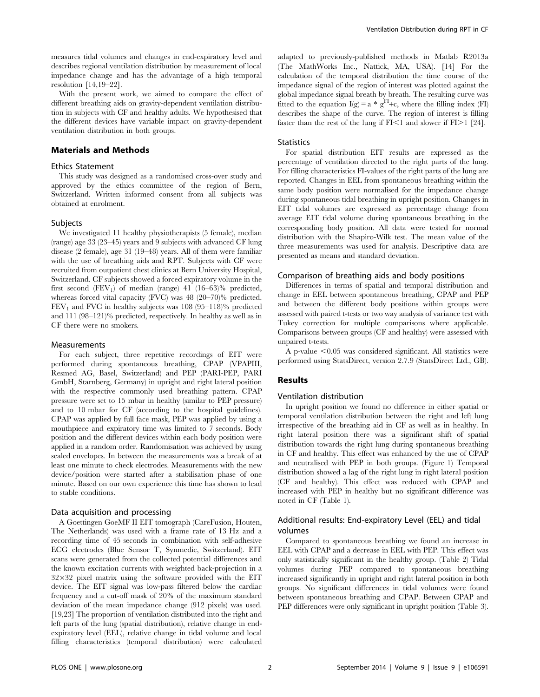measures tidal volumes and changes in end-expiratory level and describes regional ventilation distribution by measurement of local impedance change and has the advantage of a high temporal resolution [14,19–22].

With the present work, we aimed to compare the effect of different breathing aids on gravity-dependent ventilation distribution in subjects with CF and healthy adults. We hypothesised that the different devices have variable impact on gravity-dependent ventilation distribution in both groups.

#### Materials and Methods

#### Ethics Statement

This study was designed as a randomised cross-over study and approved by the ethics committee of the region of Bern, Switzerland. Written informed consent from all subjects was obtained at enrolment.

#### **Subjects**

We investigated 11 healthy physiotherapists (5 female), median (range) age 33 (23–45) years and 9 subjects with advanced CF lung disease (2 female), age 31 (19–48) years. All of them were familiar with the use of breathing aids and RPT. Subjects with CF were recruited from outpatient chest clinics at Bern University Hospital, Switzerland. CF subjects showed a forced expiratory volume in the first second  $(FEV_1)$  of median (range) 41 (16–63)% predicted, whereas forced vital capacity (FVC) was 48 (20–70)% predicted.  $FEV<sub>1</sub>$  and  $FVC$  in healthy subjects was 108 (95–118)% predicted and 111 (98–121)% predicted, respectively. In healthy as well as in CF there were no smokers.

## Measurements

For each subject, three repetitive recordings of EIT were performed during spontaneous breathing, CPAP (VPAPIII, Resmed AG, Basel, Switzerland) and PEP (PARI-PEP, PARI GmbH, Starnberg, Germany) in upright and right lateral position with the respective commonly used breathing pattern. CPAP pressure were set to 15 mbar in healthy (similar to PEP pressure) and to 10 mbar for CF (according to the hospital guidelines). CPAP was applied by full face mask, PEP was applied by using a mouthpiece and expiratory time was limited to 7 seconds. Body position and the different devices within each body position were applied in a random order. Randomisation was achieved by using sealed envelopes. In between the measurements was a break of at least one minute to check electrodes. Measurements with the new device/position were started after a stabilisation phase of one minute. Based on our own experience this time has shown to lead to stable conditions.

#### Data acquisition and processing

A Goettingen GoeMF II EIT tomograph (CareFusion, Houten, The Netherlands) was used with a frame rate of 13 Hz and a recording time of 45 seconds in combination with self-adhesive ECG electrodes (Blue Sensor T, Synmedic, Switzerland). EIT scans were generated from the collected potential differences and the known excitation currents with weighted back-projection in a  $32\times32$  pixel matrix using the software provided with the EIT device. The EIT signal was low-pass filtered below the cardiac frequency and a cut-off mask of 20% of the maximum standard deviation of the mean impedance change (912 pixels) was used. [19,23] The proportion of ventilation distributed into the right and left parts of the lung (spatial distribution), relative change in endexpiratory level (EEL), relative change in tidal volume and local filling characteristics (temporal distribution) were calculated adapted to previously-published methods in Matlab R2013a (The MathWorks Inc., Nattick, MA, USA). [14] For the calculation of the temporal distribution the time course of the impedance signal of the region of interest was plotted against the global impedance signal breath by breath. The resulting curve was fitted to the equation  $I(g) = a * g^{FI} + c$ , where the filling index (FI) describes the shape of the curve. The region of interest is filling faster than the rest of the lung if  $FI<1$  and slower if  $FI>1$  [24].

## **Statistics**

For spatial distribution EIT results are expressed as the percentage of ventilation directed to the right parts of the lung. For filling characteristics FI-values of the right parts of the lung are reported. Changes in EEL from spontaneous breathing within the same body position were normalised for the impedance change during spontaneous tidal breathing in upright position. Changes in EIT tidal volumes are expressed as percentage change from average EIT tidal volume during spontaneous breathing in the corresponding body position. All data were tested for normal distribution with the Shapiro-Wilk test. The mean value of the three measurements was used for analysis. Descriptive data are presented as means and standard deviation.

#### Comparison of breathing aids and body positions

Differences in terms of spatial and temporal distribution and change in EEL between spontaneous breathing, CPAP and PEP and between the different body positions within groups were assessed with paired t-tests or two way analysis of variance test with Tukey correction for multiple comparisons where applicable. Comparisons between groups (CF and healthy) were assessed with unpaired t-tests.

A p-value  $< 0.05$  was considered significant. All statistics were performed using StatsDirect, version 2.7.9 (StatsDirect Ltd., GB).

#### Results

#### Ventilation distribution

In upright position we found no difference in either spatial or temporal ventilation distribution between the right and left lung irrespective of the breathing aid in CF as well as in healthy. In right lateral position there was a significant shift of spatial distribution towards the right lung during spontaneous breathing in CF and healthy. This effect was enhanced by the use of CPAP and neutralised with PEP in both groups. (Figure 1) Temporal distribution showed a lag of the right lung in right lateral position (CF and healthy). This effect was reduced with CPAP and increased with PEP in healthy but no significant difference was noted in CF (Table 1).

## Additional results: End-expiratory Level (EEL) and tidal volumes

Compared to spontaneous breathing we found an increase in EEL with CPAP and a decrease in EEL with PEP. This effect was only statistically significant in the healthy group. (Table 2) Tidal volumes during PEP compared to spontaneous breathing increased significantly in upright and right lateral position in both groups. No significant differences in tidal volumes were found between spontaneous breathing and CPAP. Between CPAP and PEP differences were only significant in upright position (Table 3).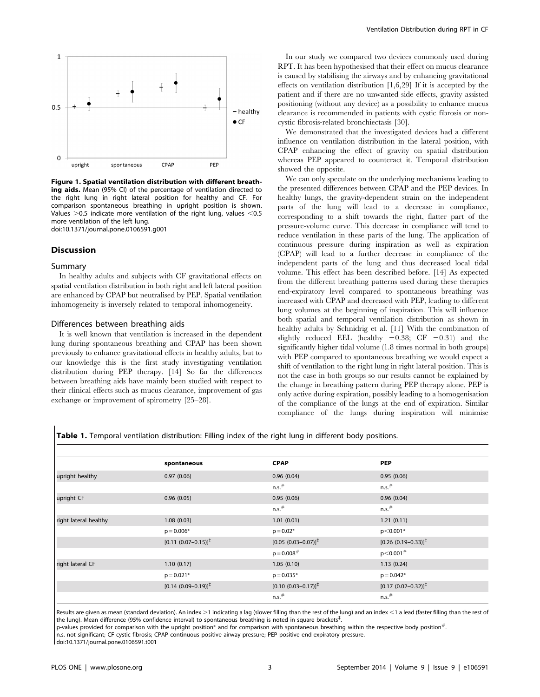

Figure 1. Spatial ventilation distribution with different breathing aids. Mean (95% CI) of the percentage of ventilation directed to the right lung in right lateral position for healthy and CF. For comparison spontaneous breathing in upright position is shown. Values  $>0.5$  indicate more ventilation of the right lung, values  $< 0.5$ more ventilation of the left lung. doi:10.1371/journal.pone.0106591.g001

## Discussion

#### Summary

In healthy adults and subjects with CF gravitational effects on spatial ventilation distribution in both right and left lateral position are enhanced by CPAP but neutralised by PEP. Spatial ventilation inhomogeneity is inversely related to temporal inhomogeneity.

#### Differences between breathing aids

It is well known that ventilation is increased in the dependent lung during spontaneous breathing and CPAP has been shown previously to enhance gravitational effects in healthy adults, but to our knowledge this is the first study investigating ventilation distribution during PEP therapy. [14] So far the differences between breathing aids have mainly been studied with respect to their clinical effects such as mucus clearance, improvement of gas exchange or improvement of spirometry [25–28].

In our study we compared two devices commonly used during RPT. It has been hypothesised that their effect on mucus clearance is caused by stabilising the airways and by enhancing gravitational effects on ventilation distribution [1,6,29] If it is accepted by the patient and if there are no unwanted side effects, gravity assisted positioning (without any device) as a possibility to enhance mucus clearance is recommended in patients with cystic fibrosis or noncystic fibrosis-related bronchiectasis [30].

We demonstrated that the investigated devices had a different influence on ventilation distribution in the lateral position, with CPAP enhancing the effect of gravity on spatial distribution whereas PEP appeared to counteract it. Temporal distribution showed the opposite.

We can only speculate on the underlying mechanisms leading to the presented differences between CPAP and the PEP devices. In healthy lungs, the gravity-dependent strain on the independent parts of the lung will lead to a decrease in compliance, corresponding to a shift towards the right, flatter part of the pressure-volume curve. This decrease in compliance will tend to reduce ventilation in these parts of the lung. The application of continuous pressure during inspiration as well as expiration (CPAP) will lead to a further decrease in compliance of the independent parts of the lung and thus decreased local tidal volume. This effect has been described before. [14] As expected from the different breathing patterns used during these therapies end-expiratory level compared to spontaneous breathing was increased with CPAP and decreased with PEP, leading to different lung volumes at the beginning of inspiration. This will influence both spatial and temporal ventilation distribution as shown in healthy adults by Schnidrig et al. [11] With the combination of slightly reduced EEL (healthy  $-0.38$ ; CF  $-0.31$ ) and the significantly higher tidal volume (1.8 times normal in both groups) with PEP compared to spontaneous breathing we would expect a shift of ventilation to the right lung in right lateral position. This is not the case in both groups so our results cannot be explained by the change in breathing pattern during PEP therapy alone. PEP is only active during expiration, possibly leading to a homogenisation of the compliance of the lungs at the end of expiration. Similar compliance of the lungs during inspiration will minimise

Table 1. Temporal ventilation distribution: Filling index of the right lung in different body positions.

|                       | spontaneous                       | <b>CPAP</b>                       | <b>PEP</b>                        |  |
|-----------------------|-----------------------------------|-----------------------------------|-----------------------------------|--|
| upright healthy       | 0.97(0.06)                        | 0.96(0.04)                        | 0.95(0.06)                        |  |
|                       |                                   | $n.s.$ #                          | $n.s.$ #                          |  |
| upright CF            | 0.96(0.05)                        | 0.95(0.06)                        | 0.96(0.04)                        |  |
|                       |                                   | $n.s.$ #                          | $n.s.$ #                          |  |
| right lateral healthy | 1.08(0.03)                        | 1.01(0.01)                        | 1.21(0.11)                        |  |
|                       | $p = 0.006*$                      | $p = 0.02*$                       | $p < 0.001*$                      |  |
|                       | $[0.11 (0.07 - 0.15)]^{\ddagger}$ | $[0.05 (0.03 - 0.07)]^{\ddagger}$ | $[0.26 (0.19 - 0.33)]^{\ddagger}$ |  |
|                       |                                   | $p = 0.008$ <sup>#</sup>          | $p < 0.001$ <sup>#</sup>          |  |
| right lateral CF      | 1.10(0.17)                        | 1.05(0.10)                        | 1.13(0.24)                        |  |
|                       | $p = 0.021*$                      | $p = 0.035*$                      | $p = 0.042*$                      |  |
|                       | $[0.14 (0.09 - 0.19)]^{\ddagger}$ | $[0.10 (0.03 - 0.17)]^{\ddagger}$ | $[0.17 (0.02 - 0.32)]^{\ddagger}$ |  |
|                       |                                   | $n.s.$ #                          | $n.s.$ #                          |  |

Results are given as mean (standard deviation). An index >1 indicating a lag (slower filling than the rest of the lung) and an index <1 a lead (faster filling than the rest of the lung). Mean difference (95% confidence interval) to spontaneous breathing is noted in square brackets<sup>±</sup>.

p-values provided for comparison with the upright position\* and for comparison with spontaneous breathing within the respective body position $\dot{\bar{}}$ .

n.s. not significant; CF cystic fibrosis; CPAP continuous positive airway pressure; PEP positive end-expiratory pressure.

doi:10.1371/journal.pone.0106591.t001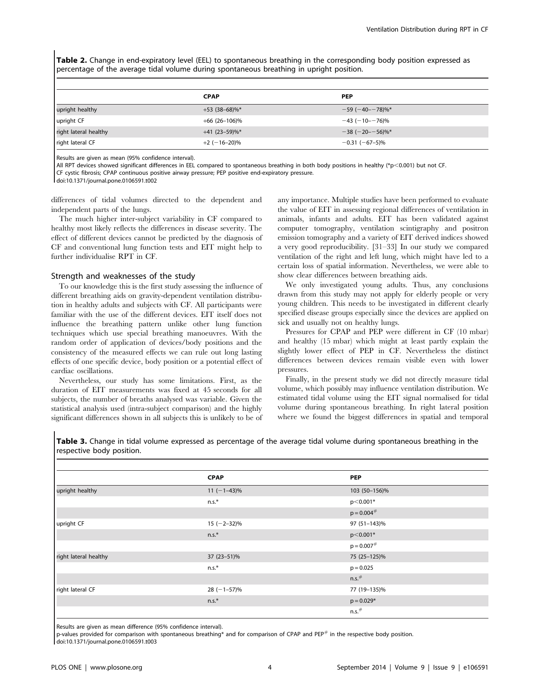Table 2. Change in end-expiratory level (EEL) to spontaneous breathing in the corresponding body position expressed as percentage of the average tidal volume during spontaneous breathing in upright position.

|                       | <b>CPAP</b>      | <b>PEP</b>           |
|-----------------------|------------------|----------------------|
| upright healthy       | $+53(38-68)\%$ * | $-59(-40 - 78)\%$ *  |
| upright CF            | $+66$ (26-106)%  | $-43 (-10 - 76)\%$   |
| right lateral healthy | $+41(23-59)\%$ * | $-38(-20 - 56)\%$    |
| right lateral CF      | $+2$ (-16-20)%   | $-0.31$ ( $-67-5$ )% |

Results are given as mean (95% confidence interval).

All RPT devices showed significant differences in EEL compared to spontaneous breathing in both body positions in healthy (\*p<0.001) but not CF.

CF cystic fibrosis; CPAP continuous positive airway pressure; PEP positive end-expiratory pressure.

doi:10.1371/journal.pone.0106591.t002

differences of tidal volumes directed to the dependent and independent parts of the lungs.

The much higher inter-subject variability in CF compared to healthy most likely reflects the differences in disease severity. The effect of different devices cannot be predicted by the diagnosis of CF and conventional lung function tests and EIT might help to further individualise RPT in CF.

#### Strength and weaknesses of the study

To our knowledge this is the first study assessing the influence of different breathing aids on gravity-dependent ventilation distribution in healthy adults and subjects with CF. All participants were familiar with the use of the different devices. EIT itself does not influence the breathing pattern unlike other lung function techniques which use special breathing manoeuvres. With the random order of application of devices/body positions and the consistency of the measured effects we can rule out long lasting effects of one specific device, body position or a potential effect of cardiac oscillations.

Nevertheless, our study has some limitations. First, as the duration of EIT measurements was fixed at 45 seconds for all subjects, the number of breaths analysed was variable. Given the statistical analysis used (intra-subject comparison) and the highly significant differences shown in all subjects this is unlikely to be of any importance. Multiple studies have been performed to evaluate the value of EIT in assessing regional differences of ventilation in animals, infants and adults. EIT has been validated against computer tomography, ventilation scintigraphy and positron emission tomography and a variety of EIT derived indices showed a very good reproducibility. [31–33] In our study we compared ventilation of the right and left lung, which might have led to a certain loss of spatial information. Nevertheless, we were able to show clear differences between breathing aids.

We only investigated young adults. Thus, any conclusions drawn from this study may not apply for elderly people or very young children. This needs to be investigated in different clearly specified disease groups especially since the devices are applied on sick and usually not on healthy lungs.

Pressures for CPAP and PEP were different in CF (10 mbar) and healthy (15 mbar) which might at least partly explain the slightly lower effect of PEP in CF. Nevertheless the distinct differences between devices remain visible even with lower pressures.

Finally, in the present study we did not directly measure tidal volume, which possibly may influence ventilation distribution. We estimated tidal volume using the EIT signal normalised for tidal volume during spontaneous breathing. In right lateral position where we found the biggest differences in spatial and temporal

Table 3. Change in tidal volume expressed as percentage of the average tidal volume during spontaneous breathing in the respective body position.

|                       | <b>CPAP</b>    | <b>PEP</b>               |  |
|-----------------------|----------------|--------------------------|--|
| upright healthy       | $11 (-1-43)\%$ | 103 (50-156)%            |  |
|                       | $n.s.*$        | p<0.001*                 |  |
|                       |                | $p = 0.004$ <sup>#</sup> |  |
| upright CF            | $15 (-2-32)\%$ | 97 (51-143)%             |  |
|                       | $n.s.*$        | $p < 0.001*$             |  |
|                       |                | $p = 0.007$ <sup>#</sup> |  |
| right lateral healthy | 37 (23-51)%    | 75 (25-125)%             |  |
|                       | $n.s.*$        | $p = 0.025$              |  |
|                       |                | $n.s.$ #                 |  |
| right lateral CF      | $28 (-1-57)\%$ | 77 (19-135)%             |  |
|                       | $n.s.*$        | $p = 0.029*$             |  |
|                       |                | $n.s.$ #                 |  |

Results are given as mean difference (95% confidence interval).

p-values provided for comparison with spontaneous breathing\* and for comparison of CPAP and PEP# in the respective body position.

doi:10.1371/journal.pone.0106591.t003